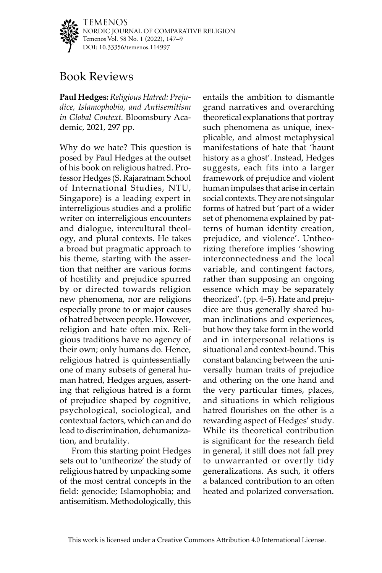TEMENOS NORDIC JOURNAL OF COMPARATIVE RELIGION Temenos Vol. 58 No. 1 (2022), 147–9 DOI: [10.33356/temenos.114997](http://doi.org/10.33356/temenos.114997)

## Book Reviews

**Paul Hedges:** *Religious Hatred: Prejudice, Islamophobia, and Antisemitism in Global Context.* Bloomsbury Academic, 2021, 297 pp.

Why do we hate? This question is posed by Paul Hedges at the outset of his book on religious hatred. Professor Hedges (S. Rajaratnam School of International Studies, NTU, Singapore) is a leading expert in interreligious studies and a prolific writer on interreligious encounters and dialogue, intercultural theology, and plural contexts. He takes a broad but pragmatic approach to his theme, starting with the assertion that neither are various forms of hostility and prejudice spurred by or directed towards religion new phenomena, nor are religions especially prone to or major causes of hatred between people. However, religion and hate often mix. Religious traditions have no agency of their own; only humans do. Hence, religious hatred is quintessentially one of many subsets of general human hatred, Hedges argues, asserting that religious hatred is a form of prejudice shaped by cognitive, psychological, sociological, and contextual factors, which can and do lead to discrimination, dehumanization, and brutality.

From this starting point Hedges sets out to 'untheorize' the study of religious hatred by unpacking some of the most central concepts in the field: genocide; Islamophobia; and antisemitism. Methodologically, this

entails the ambition to dismantle grand narratives and overarching theoretical explanations that portray such phenomena as unique, inexplicable, and almost metaphysical manifestations of hate that 'haunt history as a ghost'. Instead, Hedges suggests, each fits into a larger framework of prejudice and violent human impulses that arise in certain social contexts. They are not singular forms of hatred but 'part of a wider set of phenomena explained by patterns of human identity creation, prejudice, and violence'. Untheorizing therefore implies 'showing interconnectedness and the local variable, and contingent factors, rather than supposing an ongoing essence which may be separately theorized'. (pp. 4–5). Hate and prejudice are thus generally shared human inclinations and experiences, but how they take form in the world and in interpersonal relations is situational and context-bound. This constant balancing between the universally human traits of prejudice and othering on the one hand and the very particular times, places, and situations in which religious hatred flourishes on the other is a rewarding aspect of Hedges' study. While its theoretical contribution is significant for the research field in general, it still does not fall prey to unwarranted or overtly tidy generalizations. As such, it offers a balanced contribution to an often heated and polarized conversation.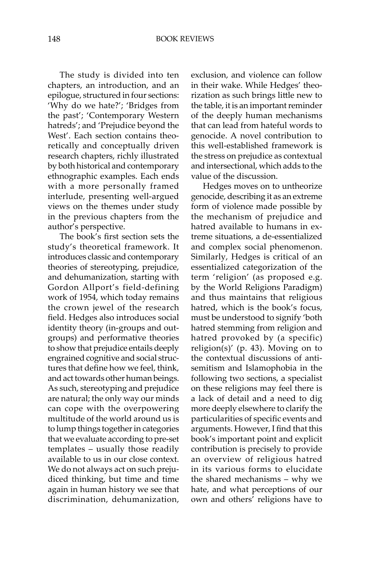The study is divided into ten chapters, an introduction, and an epilogue, structured in four sections: 'Why do we hate?'; 'Bridges from the past'; 'Contemporary Western hatreds'; and 'Prejudice beyond the West'. Each section contains theoretically and conceptually driven research chapters, richly illustrated by both historical and contemporary ethnographic examples. Each ends with a more personally framed interlude, presenting well-argued views on the themes under study in the previous chapters from the author's perspective.

The book's first section sets the study's theoretical framework. It introduces classic and contemporary theories of stereotyping, prejudice, and dehumanization, starting with Gordon Allport's field-defining work of 1954, which today remains the crown jewel of the research field. Hedges also introduces social identity theory (in-groups and outgroups) and performative theories to show that prejudice entails deeply engrained cognitive and social structures that define how we feel, think, and act towards other human beings. As such, stereotyping and prejudice are natural; the only way our minds can cope with the overpowering multitude of the world around us is to lump things together in categories that we evaluate according to pre-set templates – usually those readily available to us in our close context. We do not always act on such prejudiced thinking, but time and time again in human history we see that discrimination, dehumanization, exclusion, and violence can follow in their wake. While Hedges' theorization as such brings little new to the table, it is an important reminder of the deeply human mechanisms that can lead from hateful words to genocide. A novel contribution to this well-established framework is the stress on prejudice as contextual and intersectional, which adds to the value of the discussion.

Hedges moves on to untheorize genocide, describing it as an extreme form of violence made possible by the mechanism of prejudice and hatred available to humans in extreme situations, a de-essentialized and complex social phenomenon. Similarly, Hedges is critical of an essentialized categorization of the term 'religion' (as proposed e.g. by the World Religions Paradigm) and thus maintains that religious hatred, which is the book's focus, must be understood to signify 'both hatred stemming from religion and hatred provoked by (a specific) religion(s)' (p. 43). Moving on to the contextual discussions of antisemitism and Islamophobia in the following two sections, a specialist on these religions may feel there is a lack of detail and a need to dig more deeply elsewhere to clarify the particularities of specific events and arguments. However, I find that this book's important point and explicit contribution is precisely to provide an overview of religious hatred in its various forms to elucidate the shared mechanisms – why we hate, and what perceptions of our own and others' religions have to